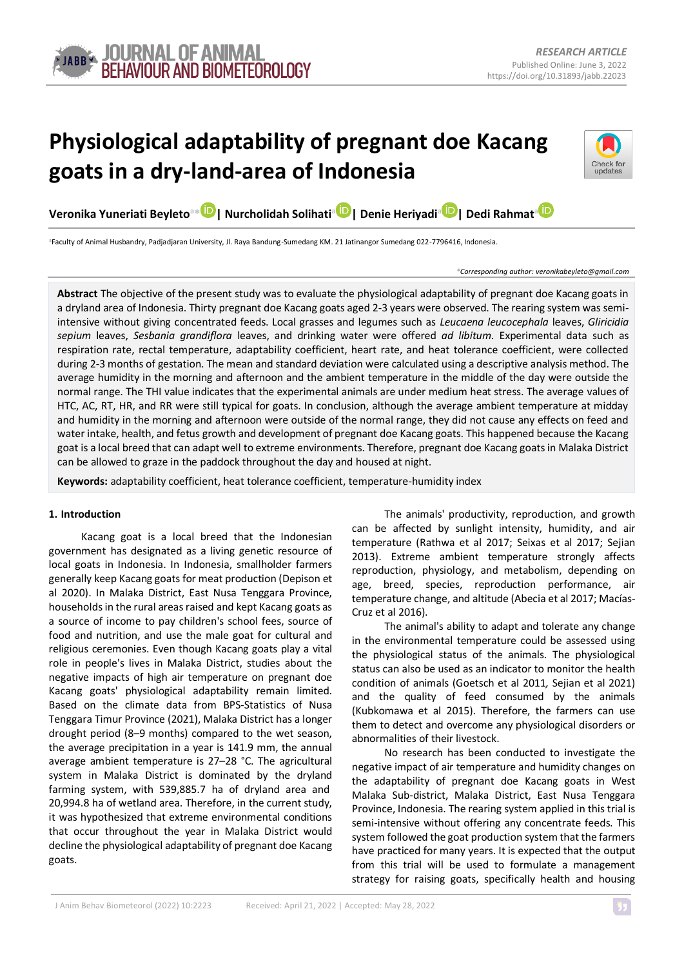

# **Physiological adaptability of pregnant doe Kacang goats in a dry-land-area of Indonesia**



**Veronika Yuneriati Beyleto<sup>a</sup>[\\*](https://orcid.org/0000-0001-9207-5277) | Nurcholidah Solihati[a](https://orcid.org/0000-0002-3404-2677) | Denie Heriyadi[a](https://orcid.org/0000-0003-0192-3205) | Dedi Rahmat[a](https://orcid.org/0000-0003-4147-9081)**

**<sup>a</sup>**Faculty of Animal Husbandry, Padjadjaran University, Jl. Raya Bandung-Sumedang KM. 21 Jatinangor Sumedang 022-7796416, Indonesia.

#### *\*Corresponding author: <veronikabeyleto@gmail.com>*

**Abstract** The objective of the present study was to evaluate the physiological adaptability of pregnant doe Kacang goats in a dryland area of Indonesia. Thirty pregnant doe Kacang goats aged 2-3 years were observed. The rearing system was semiintensive without giving concentrated feeds. Local grasses and legumes such as *Leucaena leucocephala* leaves, *Gliricidia sepium* leaves, *Sesbania grandiflora* leaves, and drinking water were offered *ad libitum*. Experimental data such as respiration rate, rectal temperature, adaptability coefficient, heart rate, and heat tolerance coefficient, were collected during 2-3 months of gestation. The mean and standard deviation were calculated using a descriptive analysis method. The average humidity in the morning and afternoon and the ambient temperature in the middle of the day were outside the normal range. The THI value indicates that the experimental animals are under medium heat stress. The average values of HTC, AC, RT, HR, and RR were still typical for goats. In conclusion, although the average ambient temperature at midday and humidity in the morning and afternoon were outside of the normal range, they did not cause any effects on feed and water intake, health, and fetus growth and development of pregnant doe Kacang goats. This happened because the Kacang goat is a local breed that can adapt well to extreme environments. Therefore, pregnant doe Kacang goats in Malaka District can be allowed to graze in the paddock throughout the day and housed at night.

**Keywords:** adaptability coefficient, heat tolerance coefficient, temperature-humidity index

## **1. Introduction**

Kacang goat is a local breed that the Indonesian government has designated as a living genetic resource of local goats in Indonesia. In Indonesia, smallholder farmers generally keep Kacang goats for meat production (Depison et al 2020). In Malaka District, East Nusa Tenggara Province, households in the rural areas raised and kept Kacang goats as a source of income to pay children's school fees, source of food and nutrition, and use the male goat for cultural and religious ceremonies. Even though Kacang goats play a vital role in people's lives in Malaka District, studies about the negative impacts of high air temperature on pregnant doe Kacang goats' physiological adaptability remain limited. Based on the climate data from BPS-Statistics of Nusa Tenggara Timur Province (2021), Malaka District has a longer drought period (8–9 months) compared to the wet season, the average precipitation in a year is 141.9 mm, the annual average ambient temperature is 27–28 °C. The agricultural system in Malaka District is dominated by the dryland farming system, with 539,885.7 ha of dryland area and 20,994.8 ha of wetland area. Therefore, in the current study, it was hypothesized that extreme environmental conditions that occur throughout the year in Malaka District would decline the physiological adaptability of pregnant doe Kacang goats.

The animals' productivity, reproduction, and growth can be affected by sunlight intensity, humidity, and air temperature (Rathwa et al 2017; Seixas et al 2017; Sejian 2013). Extreme ambient temperature strongly affects reproduction, physiology, and metabolism, depending on age, breed, species, reproduction performance, air temperature change, and altitude (Abecia et al 2017; Macías-Cruz et al 2016).

The animal's ability to adapt and tolerate any change in the environmental temperature could be assessed using the physiological status of the animals. The physiological status can also be used as an indicator to monitor the health condition of animals (Goetsch et al 2011*,* Sejian et al 2021) and the quality of feed consumed by the animals (Kubkomawa et al 2015). Therefore, the farmers can use them to detect and overcome any physiological disorders or abnormalities of their livestock.

No research has been conducted to investigate the negative impact of air temperature and humidity changes on the adaptability of pregnant doe Kacang goats in West Malaka Sub-district, Malaka District, East Nusa Tenggara Province, Indonesia. The rearing system applied in this trial is semi-intensive without offering any concentrate feeds. This system followed the goat production system that the farmers have practiced for many years. It is expected that the output from this trial will be used to formulate a management strategy for raising goats, specifically health and housing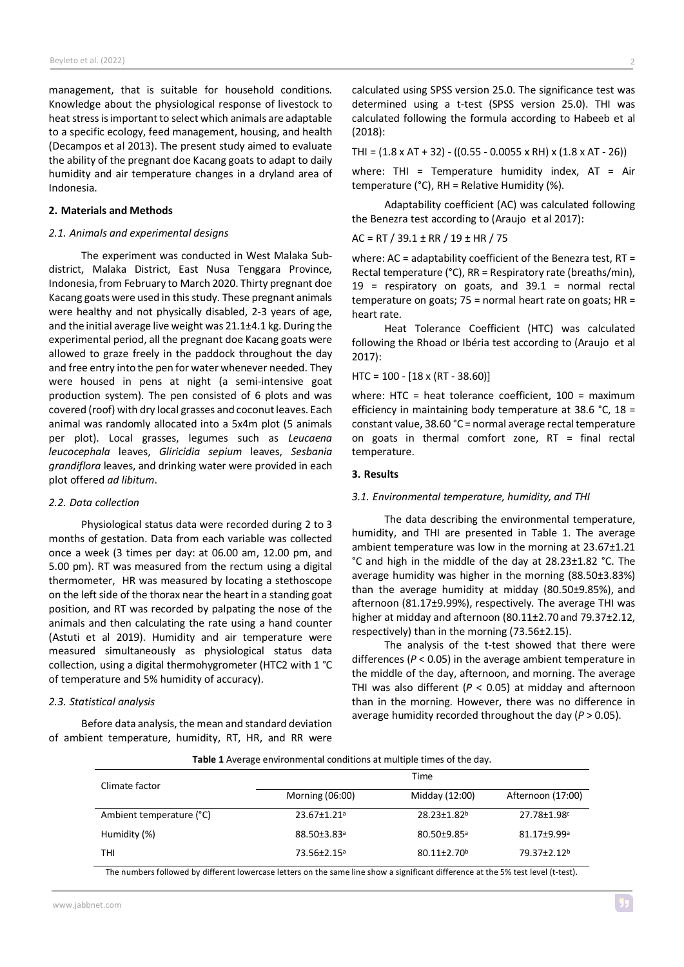management, that is suitable for household conditions. Knowledge about the physiological response of livestock to heat stress is important to select which animals are adaptable to a specific ecology, feed management, housing, and health (Decampos et al 2013). The present study aimed to evaluate the ability of the pregnant doe Kacang goats to adapt to daily humidity and air temperature changes in a dryland area of Indonesia.

# **2. Materials and Methods**

## *2.1. Animals and experimental designs*

The experiment was conducted in West Malaka Subdistrict, Malaka District, East Nusa Tenggara Province, Indonesia, from February to March 2020. Thirty pregnant doe Kacang goats were used in this study. These pregnant animals were healthy and not physically disabled, 2-3 years of age, and the initial average live weight was 21.1±4.1 kg. During the experimental period, all the pregnant doe Kacang goats were allowed to graze freely in the paddock throughout the day and free entry into the pen for water whenever needed. They were housed in pens at night (a semi-intensive goat production system). The pen consisted of 6 plots and was covered (roof) with dry local grasses and coconut leaves. Each animal was randomly allocated into a 5x4m plot (5 animals per plot). Local grasses, legumes such as *Leucaena leucocephala* leaves, *Gliricidia sepium* leaves, *Sesbania grandiflora* leaves, and drinking water were provided in each plot offered *ad libitum*.

## *2.2. Data collection*

Physiological status data were recorded during 2 to 3 months of gestation. Data from each variable was collected once a week (3 times per day: at 06.00 am, 12.00 pm, and 5.00 pm). RT was measured from the rectum using a digital thermometer, HR was measured by locating a stethoscope on the left side of the thorax near the heart in a standing goat position, and RT was recorded by palpating the nose of the animals and then calculating the rate using a hand counter (Astuti et al 2019). Humidity and air temperature were measured simultaneously as physiological status data collection, using a digital thermohygrometer (HTC2 with 1 °C of temperature and 5% humidity of accuracy).

#### *2.3. Statistical analysis*

Before data analysis, the mean and standard deviation of ambient temperature, humidity, RT, HR, and RR were

calculated using SPSS version 25.0. The significance test was determined using a t-test (SPSS version 25.0). THI was calculated following the formula according to Habeeb et al (2018):

THI =  $(1.8 \times AT + 32) - ((0.55 - 0.0055 \times RH) \times (1.8 \times AT - 26))$ 

where: THI = Temperature humidity index.  $AT = Air$ temperature (°C), RH = Relative Humidity (%).

Adaptability coefficient (AC) was calculated following the Benezra test according to (Araujo et al 2017):

AC = RT / 39.1 ± RR / 19 ± HR / 75

where: AC = adaptability coefficient of the Benezra test, RT = Rectal temperature (°C), RR = Respiratory rate (breaths/min),  $19$  = respiratory on goats, and  $39.1$  = normal rectal temperature on goats;  $75$  = normal heart rate on goats;  $HR =$ heart rate.

Heat Tolerance Coefficient (HTC) was calculated following the Rhoad or Ibéria test according to (Araujo et al 2017):

HTC = 100 - [18 x (RT - 38.60)]

where: HTC = heat tolerance coefficient, 100 = maximum efficiency in maintaining body temperature at 38.6 °C, 18 = constant value, 38.60 °C = normal average rectal temperature on goats in thermal comfort zone, RT = final rectal temperature.

## **3. Results**

## *3.1. Environmental temperature, humidity, and THI*

The data describing the environmental temperature, humidity, and THI are presented in Table 1. The average ambient temperature was low in the morning at 23.67±1.21 °C and high in the middle of the day at 28.23±1.82 °C. The average humidity was higher in the morning (88.50±3.83%) than the average humidity at midday (80.50±9.85%), and afternoon (81.17±9.99%), respectively. The average THI was higher at midday and afternoon (80.11±2.70 and 79.37±2.12, respectively) than in the morning (73.56±2.15).

The analysis of the t-test showed that there were differences (*P* < 0.05) in the average ambient temperature in the middle of the day, afternoon, and morning. The average THI was also different  $(P < 0.05)$  at midday and afternoon than in the morning. However, there was no difference in average humidity recorded throughout the day (*P* > 0.05).

| <b>Table 1</b> Average environmental conditions at multiple times of the day. |
|-------------------------------------------------------------------------------|
| Time                                                                          |

| Climate factor           | Time                    |                               |                             |
|--------------------------|-------------------------|-------------------------------|-----------------------------|
|                          | Morning (06:00)         | Midday (12:00)                | Afternoon (17:00)           |
| Ambient temperature (°C) | 23.67±1.21 <sup>a</sup> | 28.23±1.82 <sup>b</sup>       | 27.78±1.98c                 |
| Humidity (%)             | 88.50±3.83 <sup>a</sup> | $80.50 + 9.85$ <sup>a</sup>   | $81.17 + 9.99$ <sup>a</sup> |
| THI                      | 73.56±2.15 <sup>a</sup> | $80.11 \pm 2.70$ <sup>b</sup> | 79.37±2.12 <sup>b</sup>     |

The numbers followed by different lowercase letters on the same line show a significant difference at the 5% test level (t-test).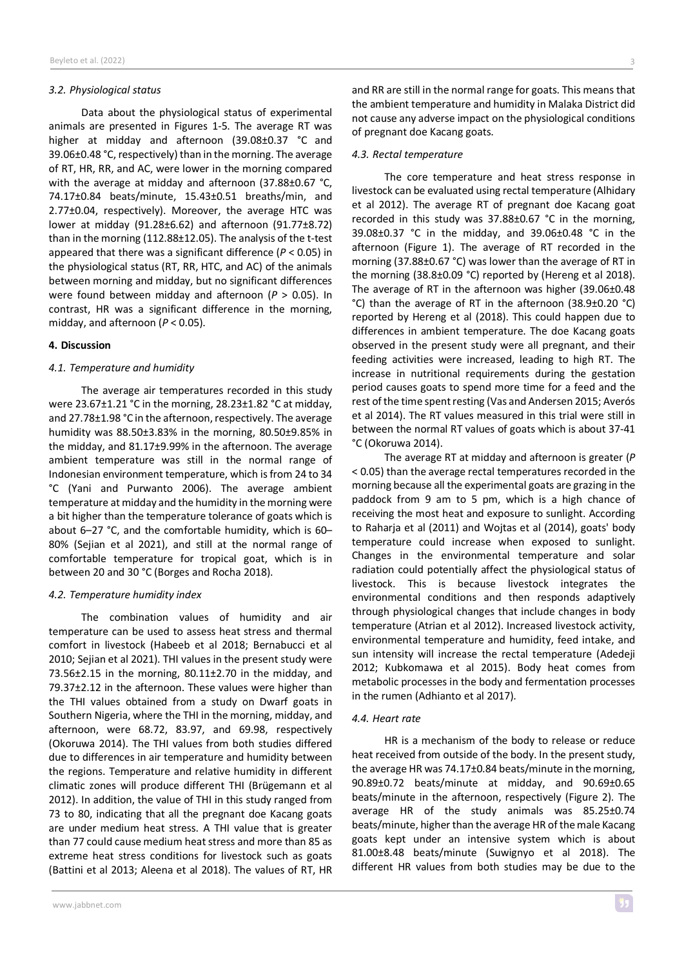## *3.2. Physiological status*

Data about the physiological status of experimental animals are presented in Figures 1-5. The average RT was higher at midday and afternoon (39.08±0.37 °C and 39.06±0.48 °C, respectively) than in the morning. The average of RT, HR, RR, and AC, were lower in the morning compared with the average at midday and afternoon (37.88±0.67 °C, 74.17±0.84 beats/minute, 15.43±0.51 breaths/min, and 2.77±0.04, respectively). Moreover, the average HTC was lower at midday (91.28±6.62) and afternoon (91.77±8.72) than in the morning (112.88±12.05). The analysis of the t-test appeared that there was a significant difference (*P* < 0.05) in the physiological status (RT, RR, HTC, and AC) of the animals between morning and midday, but no significant differences were found between midday and afternoon (*P* > 0.05). In contrast, HR was a significant difference in the morning, midday, and afternoon (*P* < 0.05).

## **4. Discussion**

## *4.1. Temperature and humidity*

The average air temperatures recorded in this study were 23.67±1.21 °C in the morning, 28.23±1.82 °C at midday, and 27.78±1.98 °C in the afternoon, respectively. The average humidity was 88.50±3.83% in the morning, 80.50±9.85% in the midday, and 81.17±9.99% in the afternoon. The average ambient temperature was still in the normal range of Indonesian environment temperature, which is from 24 to 34 °C (Yani and Purwanto 2006). The average ambient temperature at midday and the humidity in the morning were a bit higher than the temperature tolerance of goats which is about 6–27 °C, and the comfortable humidity, which is 60– 80% (Sejian et al 2021), and still at the normal range of comfortable temperature for tropical goat, which is in between 20 and 30 °C (Borges and Rocha 2018).

#### *4.2. Temperature humidity index*

The combination values of humidity and air temperature can be used to assess heat stress and thermal comfort in livestock (Habeeb et al 2018; Bernabucci et al 2010; Sejian et al 2021). THI values in the present study were 73.56±2.15 in the morning, 80.11±2.70 in the midday, and 79.37±2.12 in the afternoon. These values were higher than the THI values obtained from a study on Dwarf goats in Southern Nigeria, where the THI in the morning, midday, and afternoon, were 68.72, 83.97, and 69.98, respectively (Okoruwa 2014). The THI values from both studies differed due to differences in air temperature and humidity between the regions. Temperature and relative humidity in different climatic zones will produce different THI (Brügemann et al 2012). In addition, the value of THI in this study ranged from 73 to 80, indicating that all the pregnant doe Kacang goats are under medium heat stress. A THI value that is greater than 77 could cause medium heat stress and more than 85 as extreme heat stress conditions for livestock such as goats (Battini et al 2013; Aleena et al 2018). The values of RT, HR and RR are still in the normal range for goats. This means that the ambient temperature and humidity in Malaka District did not cause any adverse impact on the physiological conditions of pregnant doe Kacang goats.

#### *4.3. Rectal temperature*

The core temperature and heat stress response in livestock can be evaluated using rectal temperature (Alhidary et al 2012). The average RT of pregnant doe Kacang goat recorded in this study was 37.88±0.67 °C in the morning, 39.08±0.37 °C in the midday, and 39.06±0.48 °C in the afternoon (Figure 1). The average of RT recorded in the morning (37.88±0.67 °C) was lower than the average of RT in the morning (38.8±0.09 °C) reported by (Hereng et al 2018). The average of RT in the afternoon was higher (39.06±0.48 °C) than the average of RT in the afternoon (38.9±0.20 °C) reported by Hereng et al (2018). This could happen due to differences in ambient temperature. The doe Kacang goats observed in the present study were all pregnant, and their feeding activities were increased, leading to high RT. The increase in nutritional requirements during the gestation period causes goats to spend more time for a feed and the rest of the time spentresting (Vas and Andersen 2015; Averós et al 2014). The RT values measured in this trial were still in between the normal RT values of goats which is about 37-41 °C (Okoruwa 2014).

The average RT at midday and afternoon is greater (*P* < 0.05) than the average rectal temperatures recorded in the morning because all the experimental goats are grazing in the paddock from 9 am to 5 pm, which is a high chance of receiving the most heat and exposure to sunlight. According to Raharja et al (2011) and Wojtas et al (2014), goats' body temperature could increase when exposed to sunlight. Changes in the environmental temperature and solar radiation could potentially affect the physiological status of livestock. This is because livestock integrates the environmental conditions and then responds adaptively through physiological changes that include changes in body temperature (Atrian et al 2012). Increased livestock activity, environmental temperature and humidity, feed intake, and sun intensity will increase the rectal temperature (Adedeji 2012; Kubkomawa et al 2015). Body heat comes from metabolic processes in the body and fermentation processes in the rumen (Adhianto et al 2017).

#### *4.4. Heart rate*

HR is a mechanism of the body to release or reduce heat received from outside of the body. In the present study, the average HR was 74.17±0.84 beats/minute in the morning, 90.89±0.72 beats/minute at midday, and 90.69±0.65 beats/minute in the afternoon, respectively (Figure 2). The average HR of the study animals was 85.25±0.74 beats/minute, higher than the average HR of themale Kacang goats kept under an intensive system which is about 81.00±8.48 beats/minute (Suwignyo et al 2018). The different HR values from both studies may be due to the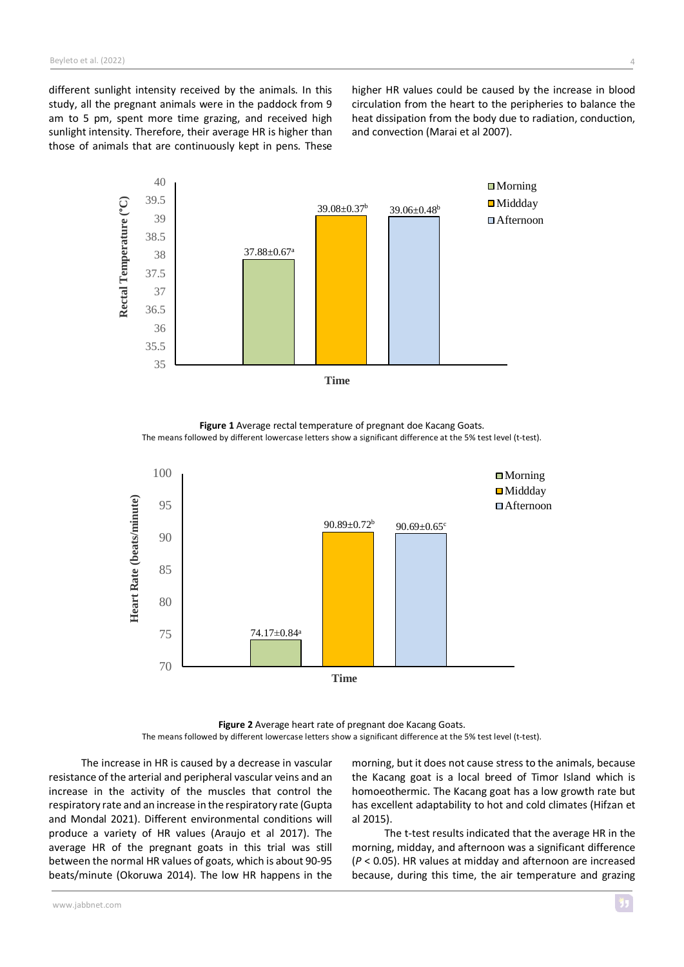different sunlight intensity received by the animals. In this study, all the pregnant animals were in the paddock from 9 am to 5 pm, spent more time grazing, and received high sunlight intensity. Therefore, their average HR is higher than those of animals that are continuously kept in pens. These

higher HR values could be caused by the increase in blood circulation from the heart to the peripheries to balance the heat dissipation from the body due to radiation, conduction, and convection (Marai et al 2007).



**Figure 1** Average rectal temperature of pregnant doe Kacang Goats. The means followed by different lowercase letters show a significant difference at the 5% test level (t-test).



**Figure 2** Average heart rate of pregnant doe Kacang Goats. The means followed by different lowercase letters show a significant difference at the 5% test level (t-test).

The increase in HR is caused by a decrease in vascular resistance of the arterial and peripheral vascular veins and an increase in the activity of the muscles that control the respiratory rate and an increase in the respiratory rate (Gupta and Mondal 2021). Different environmental conditions will produce a variety of HR values (Araujo et al 2017). The average HR of the pregnant goats in this trial was still between the normal HR values of goats, which is about 90-95 beats/minute (Okoruwa 2014). The low HR happens in the

morning, but it does not cause stress to the animals, because the Kacang goat is a local breed of Timor Island which is homoeothermic. The Kacang goat has a low growth rate but has excellent adaptability to hot and cold climates (Hifzan et al 2015).

The t-test results indicated that the average HR in the morning, midday, and afternoon was a significant difference (*P* < 0.05). HR values at midday and afternoon are increased because, during this time, the air temperature and grazing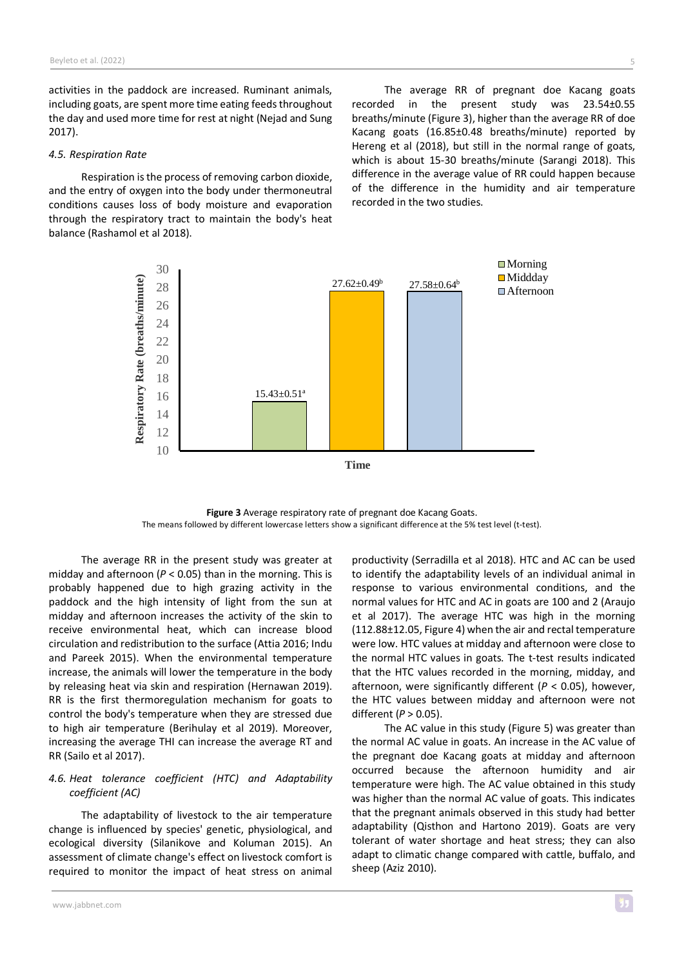activities in the paddock are increased. Ruminant animals, including goats, are spent more time eating feeds throughout the day and used more time for rest at night (Nejad and Sung 2017).

#### *4.5. Respiration Rate*

Respiration isthe process of removing carbon dioxide, and the entry of oxygen into the body under thermoneutral conditions causes loss of body moisture and evaporation through the respiratory tract to maintain the body's heat balance (Rashamol et al 2018).

The average RR of pregnant doe Kacang goats recorded in the present study was 23.54±0.55 breaths/minute (Figure 3), higher than the average RR of doe Kacang goats (16.85±0.48 breaths/minute) reported by Hereng et al (2018), but still in the normal range of goats, which is about 15-30 breaths/minute (Sarangi 2018). This difference in the average value of RR could happen because of the difference in the humidity and air temperature recorded in the two studies.



**Figure 3** Average respiratory rate of pregnant doe Kacang Goats. The means followed by different lowercase letters show a significant difference at the 5% test level (t-test).

The average RR in the present study was greater at midday and afternoon (*P* < 0.05) than in the morning. This is probably happened due to high grazing activity in the paddock and the high intensity of light from the sun at midday and afternoon increases the activity of the skin to receive environmental heat, which can increase blood circulation and redistribution to the surface (Attia 2016; Indu and Pareek 2015). When the environmental temperature increase, the animals will lower the temperature in the body by releasing heat via skin and respiration (Hernawan 2019). RR is the first thermoregulation mechanism for goats to control the body's temperature when they are stressed due to high air temperature (Berihulay et al 2019). Moreover, increasing the average THI can increase the average RT and RR (Sailo et al 2017).

# *4.6. Heat tolerance coefficient (HTC) and Adaptability coefficient (AC)*

The adaptability of livestock to the air temperature change is influenced by species' genetic, physiological, and ecological diversity (Silanikove and Koluman 2015). An assessment of climate change's effect on livestock comfort is required to monitor the impact of heat stress on animal

productivity (Serradilla et al 2018). HTC and AC can be used to identify the adaptability levels of an individual animal in response to various environmental conditions, and the normal values for HTC and AC in goats are 100 and 2 (Araujo et al 2017). The average HTC was high in the morning (112.88±12.05, Figure 4) when the air and rectal temperature were low. HTC values at midday and afternoon were close to the normal HTC values in goats. The t-test results indicated that the HTC values recorded in the morning, midday, and afternoon, were significantly different (*P* < 0.05), however, the HTC values between midday and afternoon were not different (*P* > 0.05).

The AC value in this study (Figure 5) was greater than the normal AC value in goats. An increase in the AC value of the pregnant doe Kacang goats at midday and afternoon occurred because the afternoon humidity and air temperature were high. The AC value obtained in this study was higher than the normal AC value of goats. This indicates that the pregnant animals observed in this study had better adaptability (Qisthon and Hartono 2019). Goats are very tolerant of water shortage and heat stress; they can also adapt to climatic change compared with cattle, buffalo, and sheep (Aziz 2010).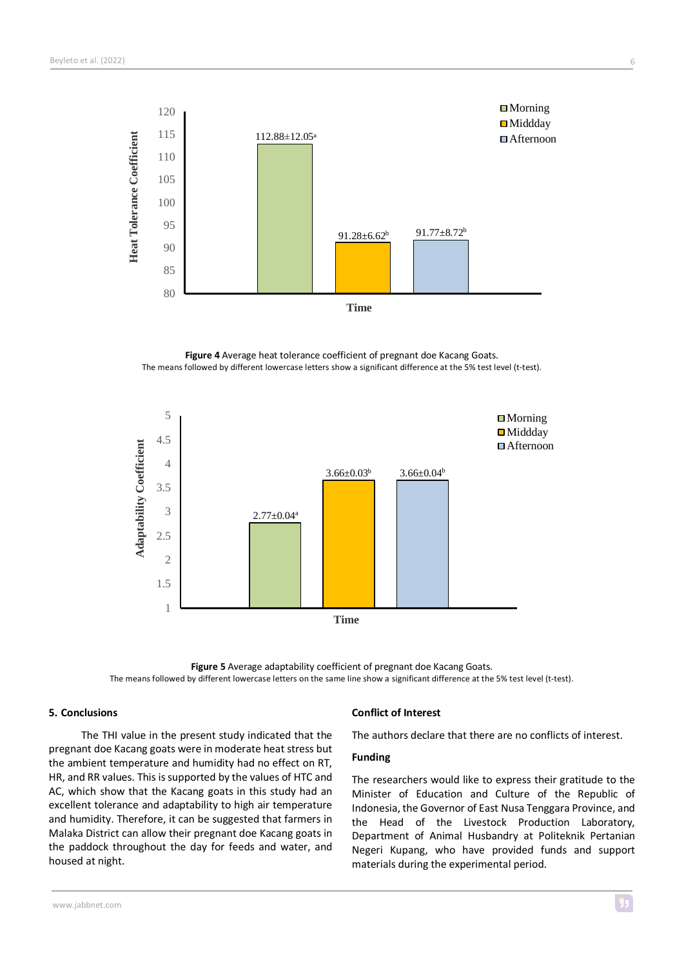

**Figure 4** Average heat tolerance coefficient of pregnant doe Kacang Goats. The means followed by different lowercase letters show a significant difference at the 5% test level (t-test).



**Figure 5** Average adaptability coefficient of pregnant doe Kacang Goats. The means followed by different lowercase letters on the same line show a significant difference at the 5% test level (t-test).

# **5. Conclusions**

The THI value in the present study indicated that the pregnant doe Kacang goats were in moderate heat stress but the ambient temperature and humidity had no effect on RT, HR, and RR values. This issupported by the values of HTC and AC, which show that the Kacang goats in this study had an excellent tolerance and adaptability to high air temperature and humidity. Therefore, it can be suggested that farmers in Malaka District can allow their pregnant doe Kacang goats in the paddock throughout the day for feeds and water, and housed at night.

## **Conflict of Interest**

The authors declare that there are no conflicts of interest.

# **Funding**

The researchers would like to express their gratitude to the Minister of Education and Culture of the Republic of Indonesia, the Governor of East Nusa Tenggara Province, and the Head of the Livestock Production Laboratory, Department of Animal Husbandry at Politeknik Pertanian Negeri Kupang, who have provided funds and support materials during the experimental period.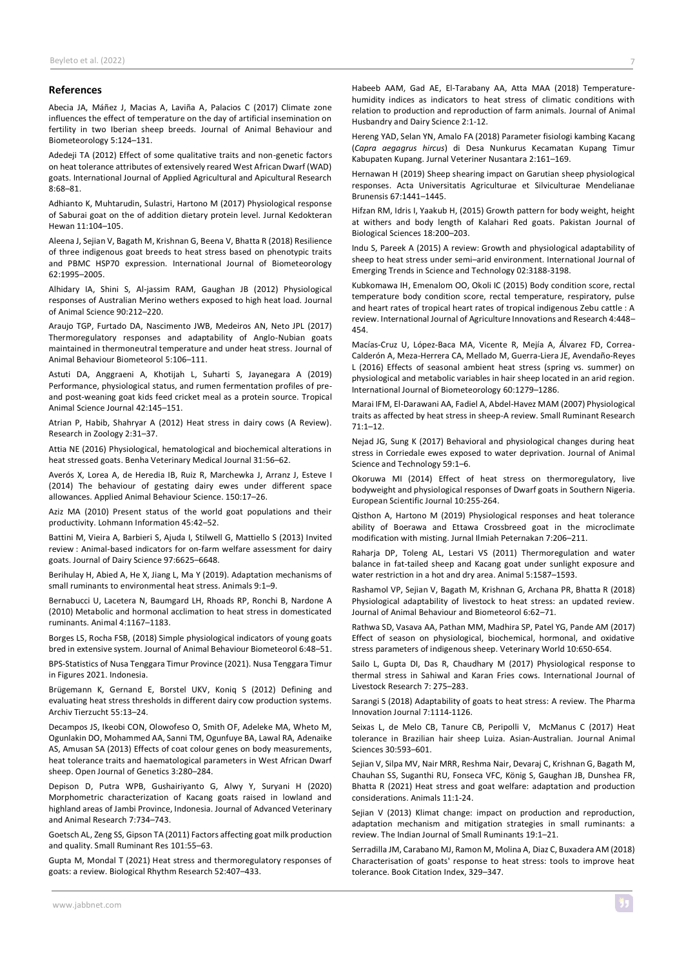#### **References**

Abecia JA, Máñez J, Macias A, Laviña A, Palacios C (2017) Climate zone influences the effect of temperature on the day of artificial insemination on fertility in two Iberian sheep breeds. Journal of Animal Behaviour and Biometeorology 5:124–131.

Adedeji TA (2012) Effect of some qualitative traits and non-genetic factors on heat tolerance attributes of extensively reared West African Dwarf (WAD) goats. International Journal of Applied Agricultural and Apicultural Research 8:68–81.

Adhianto K, Muhtarudin, Sulastri, Hartono M (2017) Physiological response of Saburai goat on the of addition dietary protein level. Jurnal Kedokteran Hewan 11:104–105.

Aleena J, Sejian V, Bagath M, Krishnan G, Beena V, Bhatta R (2018) Resilience of three indigenous goat breeds to heat stress based on phenotypic traits and PBMC HSP70 expression. International Journal of Biometeorology 62:1995–2005.

Alhidary IA, Shini S, Al-jassim RAM, Gaughan JB (2012) Physiological responses of Australian Merino wethers exposed to high heat load. Journal of Animal Science 90:212–220.

Araujo TGP, Furtado DA, Nascimento JWB, Medeiros AN, Neto JPL (2017) Thermoregulatory responses and adaptability of Anglo-Nubian goats maintained in thermoneutral temperature and under heat stress. Journal of Animal Behaviour Biometeorol 5:106–111.

Astuti DA, Anggraeni A, Khotijah L, Suharti S, Jayanegara A (2019) Performance, physiological status, and rumen fermentation profiles of preand post-weaning goat kids feed cricket meal as a protein source. Tropical Animal Science Journal 42:145–151.

Atrian P, Habib, Shahryar A (2012) Heat stress in dairy cows (A Review). Research in Zoology 2:31–37.

Attia NE (2016) Physiological, hematological and biochemical alterations in heat stressed goats. Benha Veterinary Medical Journal 31:56–62.

Averós X, Lorea A, de Heredia IB, Ruiz R, Marchewka J, Arranz J, Esteve I (2014) The behaviour of gestating dairy ewes under different space allowances. Applied Animal Behaviour Science. 150:17–26.

Aziz MA (2010) Present status of the world goat populations and their productivity. Lohmann Information 45:42–52.

Battini M, Vieira A, Barbieri S, Ajuda I, Stilwell G, Mattiello S (2013) Invited review : Animal-based indicators for on-farm welfare assessment for dairy goats. Journal of Dairy Science 97:6625–6648.

Berihulay H, Abied A, He X, Jiang L, Ma Y (2019). Adaptation mechanisms of small ruminants to environmental heat stress. Animals 9:1–9.

Bernabucci U, Lacetera N, Baumgard LH, Rhoads RP, Ronchi B, Nardone A (2010) Metabolic and hormonal acclimation to heat stress in domesticated ruminants. Animal 4:1167–1183.

Borges LS, Rocha FSB, (2018) Simple physiological indicators of young goats bred in extensive system. Journal of Animal Behaviour Biometeorol 6:48–51.

BPS-Statistics of Nusa Tenggara Timur Province (2021). Nusa Tenggara Timur in Figures 2021. Indonesia.

Brügemann K, Gernand E, Borstel UKV, Koniq S (2012) Defining and evaluating heat stress thresholds in different dairy cow production systems. Archiv Tierzucht 55:13–24.

Decampos JS, Ikeobi CON, Olowofeso O, Smith OF, Adeleke MA, Wheto M, Ogunlakin DO, Mohammed AA, Sanni TM, Ogunfuye BA, Lawal RA, Adenaike AS, Amusan SA (2013) Effects of coat colour genes on body measurements, heat tolerance traits and haematological parameters in West African Dwarf sheep. Open Journal of Genetics 3:280–284.

Depison D, Putra WPB, Gushairiyanto G, Alwy Y, Suryani H (2020) Morphometric characterization of Kacang goats raised in lowland and highland areas of Jambi Province, Indonesia. Journal of Advanced Veterinary and Animal Research 7:734–743.

Goetsch AL, Zeng SS, Gipson TA (2011) Factors affecting goat milk production and quality. Small Ruminant Res 101:55–63.

Gupta M, Mondal T (2021) Heat stress and thermoregulatory responses of goats: a review. Biological Rhythm Research 52:407–433.

Habeeb AAM, Gad AE, El-Tarabany AA, Atta MAA (2018) Temperaturehumidity indices as indicators to heat stress of climatic conditions with relation to production and reproduction of farm animals. Journal of Animal Husbandry and Dairy Science 2:1-12.

Hereng YAD, Selan YN, Amalo FA (2018) Parameter fisiologi kambing Kacang (*Capra aegagrus hircus*) di Desa Nunkurus Kecamatan Kupang Timur Kabupaten Kupang. Jurnal Veteriner Nusantara 2:161–169.

Hernawan H (2019) Sheep shearing impact on Garutian sheep physiological responses. Acta Universitatis Agriculturae et Silviculturae Mendelianae Brunensis 67:1441–1445.

Hifzan RM, Idris I, Yaakub H, (2015) Growth pattern for body weight, height at withers and body length of Kalahari Red goats. Pakistan Journal of Biological Sciences 18:200–203.

Indu S, Pareek A (2015) A review: Growth and physiological adaptability of sheep to heat stress under semi–arid environment. International Journal of Emerging Trends in Science and Technology 02:3188-3198.

Kubkomawa IH, Emenalom OO, Okoli IC (2015) Body condition score, rectal temperature body condition score, rectal temperature, respiratory, pulse and heart rates of tropical heart rates of tropical indigenous Zebu cattle : A review. International Journal of Agriculture Innovations and Research 4:448– 454.

Macías-Cruz U, López-Baca MA, Vicente R, Mejía A, Álvarez FD, Correa-Calderón A, Meza-Herrera CA, Mellado M, Guerra-Liera JE, Avendaño-Reyes L (2016) Effects of seasonal ambient heat stress (spring vs. summer) on physiological and metabolic variables in hair sheep located in an arid region. International Journal of Biometeorology 60:1279–1286.

Marai IFM, El-Darawani AA, Fadiel A, Abdel-Havez MAM (2007) Physiological traits as affected by heat stress in sheep-A review. Small Ruminant Research 71:1–12.

Nejad JG, Sung K (2017) Behavioral and physiological changes during heat stress in Corriedale ewes exposed to water deprivation. Journal of Animal Science and Technology 59:1–6.

Okoruwa MI (2014) Effect of heat stress on thermoregulatory, live bodyweight and physiological responses of Dwarf goats in Southern Nigeria. European Scientific Journal 10:255-264.

Qisthon A, Hartono M (2019) Physiological responses and heat tolerance ability of Boerawa and Ettawa Crossbreed goat in the microclimate modification with misting. Jurnal Ilmiah Peternakan 7:206–211.

Raharja DP, Toleng AL, Lestari VS (2011) Thermoregulation and water balance in fat-tailed sheep and Kacang goat under sunlight exposure and water restriction in a hot and dry area. Animal 5:1587–1593.

Rashamol VP, Sejian V, Bagath M, Krishnan G, Archana PR, Bhatta R (2018) Physiological adaptability of livestock to heat stress: an updated review. Journal of Animal Behaviour and Biometeorol 6:62–71.

Rathwa SD, Vasava AA, Pathan MM, Madhira SP, Patel YG, Pande AM (2017) Effect of season on physiological, biochemical, hormonal, and oxidative stress parameters of indigenous sheep. Veterinary World 10:650-654.

Sailo L, Gupta DI, Das R, Chaudhary M (2017) Physiological response to thermal stress in Sahiwal and Karan Fries cows. International Journal of Livestock Research 7: 275–283.

Sarangi S (2018) Adaptability of goats to heat stress: A review. The Pharma Innovation Journal 7:1114-1126.

Seixas L, de Melo CB, Tanure CB, Peripolli V, McManus C (2017) Heat tolerance in Brazilian hair sheep Luiza. Asian-Australian. Journal Animal Sciences 30:593–601.

Sejian V, Silpa MV, Nair MRR, Reshma Nair, Devaraj C, Krishnan G, Bagath M, Chauhan SS, Suganthi RU, Fonseca VFC, König S, Gaughan JB, Dunshea FR, Bhatta R (2021) Heat stress and goat welfare: adaptation and production considerations. Animals 11:1-24.

Sejian V (2013) Klimat change: impact on production and reproduction, adaptation mechanism and mitigation strategies in small ruminants: a review. The Indian Journal of Small Ruminants 19:1–21.

Serradilla JM, Carabano MJ, Ramon M, Molina A, Diaz C, Buxadera AM (2018) Characterisation of goats' response to heat stress: tools to improve heat tolerance. Book Citation Index, 329–347.